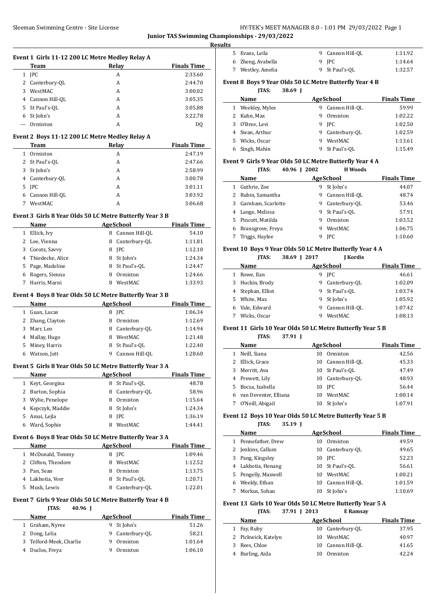Burling, Aida 10 Ormiston 42.24

|    | Sleeman Swimming Centre - Site License          |                                                          |                    | Junior TAS Swimming Championships - 29/03/2022 | HY-TEK's MEET MANAGER 8.0 - 1:01 PM 29/03/2022 Page 1      |                    |
|----|-------------------------------------------------|----------------------------------------------------------|--------------------|------------------------------------------------|------------------------------------------------------------|--------------------|
|    |                                                 |                                                          |                    | <b>Results</b>                                 |                                                            |                    |
|    | Event 1 Girls 11-12 200 LC Metre Medley Relay A |                                                          |                    | 5 Evans, Leila                                 | 9 Cannon Hill-QL                                           | 1:11.92            |
|    | Team                                            | Relay                                                    | <b>Finals Time</b> | Zheng, Avabella<br>6                           | 9 JPC                                                      | 1:14.64            |
|    | 1 JPC                                           | A                                                        | 2:33.60            | 7 Westley, Amelia                              | 9 St Paul's-QL                                             | 1:32.57            |
|    | 2 Canterbury-QL                                 | Α                                                        | 2:44.70            |                                                | Event 8 Boys 9 Year Olds 50 LC Metre Butterfly Year 4 B    |                    |
| 3  | WestMAC                                         | A                                                        | 3:00.02            | <b>JTAS:</b>                                   | 38.69 J                                                    |                    |
|    | 4 Cannon Hill-OL                                | A                                                        | 3:05.35            | Name                                           | <b>AgeSchool</b>                                           | <b>Finals Time</b> |
|    | 5 St Paul's-QL                                  | A                                                        | 3:05.88            | 1 Weekley, Myles                               | 9 Cannon Hill-QL                                           | 59.99              |
|    |                                                 | А                                                        | 3:22.78            |                                                | 9 Ormiston                                                 | 1:02.22            |
| 6  | St John's                                       |                                                          |                    | 2 Kuhn, Max                                    |                                                            |                    |
|    | Ormiston                                        | A                                                        | <b>DQ</b>          | O'Bree, Levi<br>3                              | 9 JPC                                                      | 1:02.50            |
|    | Event 2 Boys 11-12 200 LC Metre Medley Relay A  |                                                          |                    | Swan, Arthur<br>4                              | 9 Canterbury-QL                                            | 1:02.59            |
|    | Team                                            | Relay                                                    | <b>Finals Time</b> | 5<br>Wicks, Oscar                              | 9 WestMAC                                                  | 1:13.61            |
|    | 1 Ormiston                                      | A                                                        | 2:47.19            | Singh, Mahin<br>6                              | 9 St Paul's-QL                                             | 1:15.49            |
|    | 2 St Paul's-QL                                  | A                                                        | 2:47.66            |                                                | Event 9 Girls 9 Year Olds 50 LC Metre Butterfly Year 4 A   |                    |
|    | 3 St John's                                     | A                                                        | 2:58.99            | <b>JTAS:</b>                                   | 40.96 J 2002<br><b>H</b> Woods                             |                    |
|    | 4 Canterbury-QL                                 | A                                                        | 3:00.78            | Name                                           | <b>AgeSchool</b>                                           | <b>Finals Time</b> |
|    | 5 JPC                                           | A                                                        | 3:01.11            | 1 Guthrie, Zoe                                 | 9 St John's                                                | 44.07              |
|    | 6 Cannon Hill-QL                                | A                                                        | 3:03.92            | 2 Rubin, Samantha                              | 9 Cannon Hill-QL                                           | 48.74              |
|    | 7 WestMAC                                       | A                                                        | 3:06.68            | Garnham, Scarlotte<br>3                        | 9 Canterbury-QL                                            | 53.46              |
|    |                                                 |                                                          |                    | Lange, Melissa<br>4                            | 9 St Paul's-QL                                             | 57.91              |
|    |                                                 | Event 3 Girls 8 Year Olds 50 LC Metre Butterfly Year 3 B |                    | Pincott, Matilda<br>5                          | 9 Ormiston                                                 | 1:03.52            |
|    | Name                                            | <b>AgeSchool</b>                                         | <b>Finals Time</b> | Bransgrove, Freya<br>6                         | 9 WestMAC                                                  | 1:06.75            |
|    | 1 Ellick, Ivy                                   | 8 Cannon Hill-QL                                         | 54.10              |                                                | 9 JPC                                                      |                    |
|    | 2 Lee, Vienna                                   | 8 Canterbury-QL                                          | 1:11.81            | 7 Triggs, Haylee                               |                                                            | 1:10.60            |
| 3  | Corotz, Savvy                                   | 8 JPC                                                    | 1:12.10            |                                                | Event 10 Boys 9 Year Olds 50 LC Metre Butterfly Year 4 A   |                    |
| 4  | Thiedecke, Alice                                | 8 St John's                                              | 1:24.34            | <b>ITAS:</b>                                   | 38.69 J 2017<br><b>J</b> Kordis                            |                    |
| 5. | Page, Madeline                                  | 8 St Paul's-QL                                           | 1:24.47            | Name                                           | <b>AgeSchool</b>                                           | <b>Finals Time</b> |
|    | 6 Rogers, Sienna                                | Ormiston<br>8                                            | 1:24.66            | 1 Rowe, Ilan                                   | 9 JPC                                                      | 46.61              |
|    | 7 Harris, Marni                                 | 8 WestMAC                                                | 1:33.93            | Huckin, Brody<br>3                             | 9 Canterbury-QL                                            | 1:02.09            |
|    |                                                 |                                                          |                    | Stephan, Elliot<br>4                           | 9 St Paul's-QL                                             | 1:03.74            |
|    |                                                 | Event 4 Boys 8 Year Olds 50 LC Metre Butterfly Year 3 B  |                    | White, Max<br>5                                | 9 St John's                                                | 1:05.92            |
|    | <b>Name</b>                                     | <b>AgeSchool</b>                                         | <b>Finals Time</b> | Vale, Edward<br>6                              | 9 Cannon Hill-QL                                           | 1:07.42            |
|    | 1 Guan, Lucas                                   | 8 JPC                                                    | 1:06.34            | 7 Wicks, Oscar                                 | 9 WestMAC                                                  | 1:08.13            |
|    | 2 Zhang, Clayton                                | 8 Ormiston                                               | 1:12.69            |                                                |                                                            |                    |
| 3  | Marr, Leo                                       | Canterbury-QL<br>8                                       | 1:14.94            |                                                | Event 11 Girls 10 Year Olds 50 LC Metre Butterfly Year 5 B |                    |
|    | 4 Mallay, Hugo                                  | 8 WestMAC                                                | 1:21.48            | <b>JTAS:</b>                                   | 37.91 J                                                    |                    |
| 5  | Miney, Harris                                   | 8<br>St Paul's-QL                                        | 1:22.40            | Name                                           | <b>AgeSchool</b>                                           | <b>Finals Time</b> |
|    | 6 Watson, Jett                                  | 9 Cannon Hill-QL                                         | 1:28.60            | 1 Neill, Siana                                 | 10 Ormiston                                                | 42.56              |
|    |                                                 |                                                          |                    | 2 Ellick, Grace                                | 10 Cannon Hill-QL                                          | 45.33              |
|    |                                                 | Event 5 Girls 8 Year Olds 50 LC Metre Butterfly Year 3 A |                    | Merritt, Ava<br>3                              | 10 St Paul's-QL                                            | 47.49              |
|    | Name                                            | <b>AgeSchool</b>                                         | <b>Finals Time</b> | Prewett, Lily<br>4                             | 10 Canterbury-QL                                           | 48.93              |
|    | 1 Keyt, Georgina                                | 8 St Paul's-QL                                           | 48.78              | Bocsa, Izabella<br>5                           | 10 JPC                                                     | 56.44              |
|    | 2 Burton, Sophia                                | 8 Canterbury-QL                                          | 58.96              | van Deventer, Elliana<br>6                     | 10 WestMAC                                                 | 1:00.14            |
| 3  | Wylie, Penelope                                 | 8 Ormiston                                               | 1:15.64            | 7 O'Neill, Abigail                             | 10 St John's                                               | 1:07.91            |
|    | 4 Kepczyk, Maddie                               | 8 St John's                                              | 1:24.34            |                                                |                                                            |                    |
|    | 5 Amai, Lejla                                   | 8 JPC                                                    | 1:36.19            |                                                | Event 12 Boys 10 Year Olds 50 LC Metre Butterfly Year 5 B  |                    |
|    | 6 Ward, Sophie                                  | 8 WestMAC                                                | 1:44.41            | JTAS:                                          | 35.19 J                                                    |                    |
|    |                                                 |                                                          |                    | Name                                           | <b>AgeSchool</b>                                           | <b>Finals Time</b> |
|    |                                                 | Event 6 Boys 8 Year Olds 50 LC Metre Butterfly Year 3 A  |                    | 1 Pennefather, Drew                            | 10 Ormiston                                                | 49.59              |
|    | Name                                            | <b>AgeSchool</b>                                         | <b>Finals Time</b> | 2 Jenkins, Callum                              | 10 Canterbury-QL                                           | 49.65              |
|    | 1 McDonald, Tommy                               | 8 JPC                                                    | 1:09.46            | Pang, Kingsley<br>3                            | 10 JPC                                                     | 52.23              |
|    | 2 Clifton, Theodore                             | 8 WestMAC                                                | 1:12.52            | Lakhotia, Henang<br>4                          | 10 St Paul's-QL                                            | 56.61              |
|    | 3 Pan, Sean                                     | 8 Ormiston                                               | 1:13.75            | Pengelly, Maxwell<br>5                         | 10 WestMAC                                                 | 1:00.21            |
|    | 4 Lakhotia, Veer                                | 8 St Paul's-QL                                           | 1:20.71            | Weekly, Ethan<br>6                             | 10 Cannon Hill-QL                                          | 1:01.59            |
|    | 5 Musk, Lewis                                   | 8 Canterbury-QL                                          | 1:22.01            | 7 Morkus, Sohan                                | 10 St John's                                               | 1:10.69            |
|    |                                                 |                                                          |                    |                                                |                                                            |                    |
|    |                                                 | Event 7 Girls 9 Year Olds 50 LC Metre Butterfly Year 4 B |                    |                                                | Event 13 Girls 10 Year Olds 50 LC Metre Butterfly Year 5 A |                    |
|    | JTAS:<br>40.96 J                                |                                                          |                    | <b>JTAS:</b>                                   | 37.91 J 2013<br><b>E</b> Ramsay                            |                    |
|    | Name                                            | <b>AgeSchool</b>                                         | <b>Finals Time</b> | Name                                           | AgeSchool                                                  | <b>Finals Time</b> |
|    | 1 Graham, Nyree                                 | 9 St John's                                              | 51.26              | 1 Fay, Ruby                                    | 10 Canterbury-QL                                           | 37.95              |
|    | 2 Dong, Lelia                                   | 9 Canterbury-QL                                          | 58.21              | 2 Pickwick, Katelyn                            | 10 WestMAC                                                 | 40.97              |
|    | 3 Telford-Meek, Charlie                         | 9<br>Ormiston                                            | 1:01.64            | 3 Rees, Chloe                                  | 10 Cannon Hill-QL                                          | 41.65              |
|    | 4 Duclos, Freya                                 | 9 Ormiston                                               | 1:06.10            |                                                |                                                            | 22                 |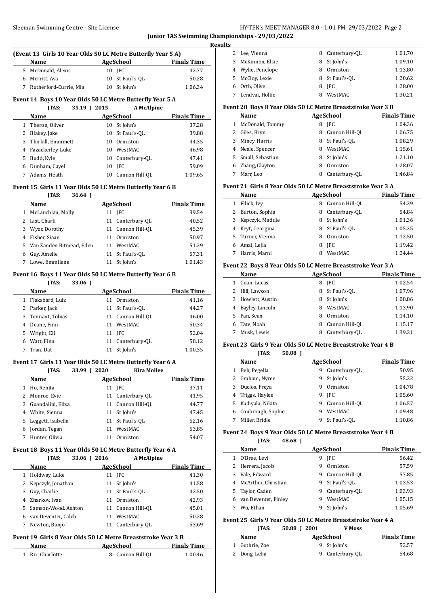# Sleeman Swimming Centre - Site License **HY-TEK's MEET MANAGER 8.0 - 1:01 PM 29/03/2022** Page 2 **Junior TAS Swimming Championships - 29/03/2022**

**Results**

 $\overline{a}$ 

 $\overline{a}$ 

#### **(Event 13 Girls 10 Year Olds 50 LC Metre Butterfly Year 5 A)**

|  | <b>Name</b>            | AgeSchool       | <b>Finals Time</b> |
|--|------------------------|-----------------|--------------------|
|  | 5 McDonald, Alexis     | 10 IPC          | 42.77              |
|  | 6 Merritt, Ava         | 10 St Paul's-OL | 50.28              |
|  | Rutherford-Currie, Mia | 10 St John's    | 1:06.34            |

### **Event 14 Boys 10 Year Olds 50 LC Metre Butterfly Year 5 A**

**JTAS: 35.19 J 2015 A McAlpine Name Age School Finals Time** 1 Theron, Oliver 10 St John's 37.28 2 Blakey, Jake 10 St Paul's-QL 39.88 Thirkill, Emmmett 10 Ormiston 44.35 Fazackerley, Luke 10 WestMAC 46.98 5 Budd, Kyle 10 Canterbury-OL 47.41 Dunham, Cayel 10 JPC 59.09 Adams, Heath 10 Cannon Hill-QL 1:09.65

#### **Event 15 Girls 11 Year Olds 50 LC Metre Butterfly Year 6 B**

#### **JTAS: 36.64 J**

|    | Name                       |    | AgeSchool         | <b>Finals Time</b> |
|----|----------------------------|----|-------------------|--------------------|
|    | 1 McLauchlan, Molly        |    | 11 <b>IPC</b>     | 39.54              |
|    | 2 List, Charli             |    | 11 Canterbury-OL  | 40.52              |
| 3. | Wyer, Dorothy              |    | 11 Cannon Hill-OL | 45.39              |
|    | Fisher, Siaan              | 11 | Ormiston          | 50.97              |
|    | 5 Van Zanden Bitmead, Eden | 11 | WestMAC           | 51.39              |
| 6  | Guy, Amelie                |    | 11 St Paul's-OL   | 57.31              |
|    | Lowe, Emmilene             |    | St John's         | 1:01.43            |

#### **Event 16 Boys 11 Year Olds 50 LC Metre Butterfly Year 6 B**

#### **JTAS: 33.06 J**

|   | <b>Name</b>     |    | AgeSchool         | <b>Finals Time</b> |
|---|-----------------|----|-------------------|--------------------|
|   | Flaksbard, Luiz | 11 | Ormiston          | 41.16              |
|   | Parker, Jack    |    | 11 St Paul's-OL   | 44.27              |
| 3 | Tennant, Tobias |    | 11 Cannon Hill-OL | 46.00              |
| 4 | Deane, Finn     | 11 | WestMAC           | 50.34              |
| 5 | Wright, Eli     |    | 11 <b>IPC</b>     | 52.04              |
| 6 | Watt, Finn      |    | 11 Canterbury-OL  | 58.12              |
|   | Tran, Dat       | 11 | St John's         | 1:00.35            |

#### **Event 17 Girls 11 Year Olds 50 LC Metre Butterfly Year 6 A**

**JTAS: 33.99 J 2020 Kira Mollee**

|   | Name              |    | AgeSchool         | <b>Finals Time</b> |
|---|-------------------|----|-------------------|--------------------|
|   | Ho, Renita        |    | 11 <b>IPC</b>     | 37.11              |
|   | Monroe, Evie      |    | 11 Canterbury-OL  | 41.95              |
| 3 | Guandalini, Eliza |    | 11 Cannon Hill-OL | 44.77              |
| 4 | White, Sienna     | 11 | St John's         | 47.45              |
| 5 | Leggett, Isabella | 11 | St Paul's-OL      | 52.16              |
|   | Jordan, Tegan     | 11 | WestMAC           | 53.85              |
|   | Hunter, Olivia    | 11 | Ormiston          | 54.07              |
|   |                   |    |                   |                    |

# **Event 18 Boys 11 Year Olds 50 LC Metre Butterfly Year 6 A**

|   | <b>ITAS:</b>          | 33.06   2016 | <b>A McAlpine</b> |                    |
|---|-----------------------|--------------|-------------------|--------------------|
|   | Name                  |              | AgeSchool         | <b>Finals Time</b> |
| 1 | Holdway, Luke         |              | 11 <b>IPC</b>     | 41.30              |
|   | 2 Kepczyk, Jonathan   |              | 11 St John's      | 41.58              |
| 3 | Guy, Charlie          |              | 11 St Paul's-OL   | 42.50              |
| 4 | Zharkov, Ivan         | 11           | Ormiston          | 42.93              |
|   | 5 Samson-Wood, Ashton |              | 11 Cannon Hill-OL | 45.01              |
| 6 | van Deventer, Caleb   | 11           | WestMAC           | 50.28              |
|   | Newton, Banjo         |              | 11 Canterbury-OL  | 53.69              |

# **Event 19 Girls 8 Year Olds 50 LC Metre Breaststroke Year 3 B**

| Name             | AgeSchool        | <b>Finals Time</b> |  |
|------------------|------------------|--------------------|--|
| 1 Rix. Charlotte | 8 Cannon Hill-OL | 1:00.46            |  |

|   | 2 Lee, Vienna     |   | 8 Canterbury-OL | 1:01.70 |
|---|-------------------|---|-----------------|---------|
| 3 | McKinnon, Elsie   | 8 | St John's       | 1:09.10 |
|   | 4 Wylie, Penelope | 8 | Ormiston        | 1:13.80 |
|   | 5 McCloy, Lexie   |   | 8 St Paul's-OL  | 1:20.62 |
|   | Orth, Olive       |   | 8 IPC           | 1:28.00 |
|   | Lendvai, Hollie   | 8 | WestMAC         | 1:30.21 |

# **Event 20 Boys 8 Year Olds 50 LC Metre Breaststroke Year 3 B**

|    | <b>Name</b>      |   | <b>AgeSchool</b> | <b>Finals Time</b> |
|----|------------------|---|------------------|--------------------|
| 1  | McDonald, Tommy  | 8 | <b>IPC</b>       | 1:04.36            |
|    | Giles, Bryn      | 8 | Cannon Hill-OL   | 1:06.75            |
|    | Miney, Harris    | 8 | St Paul's-OL     | 1:08.29            |
|    | Neale, Spencer   | 8 | WestMAC          | 1:15.61            |
| 5. | Small, Sebastian | 8 | St John's        | 1:21.10            |
|    | Zhang, Clayton   | 8 | Ormiston         | 1:28.07            |
|    | Marr, Leo        | 8 | Canterbury-OL    | 1:46.84            |

# **Event 21 Girls 8 Year Olds 50 LC Metre Breaststroke Year 3 A**

|    | Name            |   | AgeSchool      | <b>Finals Time</b> |
|----|-----------------|---|----------------|--------------------|
|    | Ellick, Ivy     | 8 | Cannon Hill-OL | 54.29              |
| 2  | Burton, Sophia  | 8 | Canterbury-OL  | 54.84              |
| 3  | Kepczyk, Maddie | 8 | St John's      | 1:01.36            |
| 4  | Keyt, Georgina  | 8 | St Paul's-OL   | 1:05.35            |
| 5. | Turner, Vienna  | 8 | Ormiston       | 1:12.50            |
| 6  | Amai, Lejla     | 8 | <b>IPC</b>     | 1:19.42            |
|    | Harris, Marni   | 8 | WestMAC        | 1:24.44            |

### **Event 22 Boys 8 Year Olds 50 LC Metre Breaststroke Year 3 A**

|   | Name            |   | AgeSchool      | <b>Finals Time</b> |
|---|-----------------|---|----------------|--------------------|
|   | Guan, Lucas     | 8 | <b>IPC</b>     | 1:02.54            |
| 2 | Hill, Lawson    | 8 | St Paul's-OL   | 1:07.96            |
| 3 | Howlett, Austin | 8 | St John's      | 1:08.86            |
| 4 | Bayley, Lincoln | 8 | WestMAC        | 1:13.90            |
| 5 | Pan, Sean       | 8 | Ormiston       | 1:14.10            |
| 6 | Tate, Noah      | 8 | Cannon Hill-OL | 1:15.17            |
|   | Musk, Lewis     | 8 | Canterbury-OL  | 1:39.21            |
|   |                 |   |                |                    |

# **Event 23 Girls 9 Year Olds 50 LC Metre Breaststroke Year 4 B**

**JTAS: 50.88 J**

|    | Name              |   | <b>AgeSchool</b> | <b>Finals Time</b> |
|----|-------------------|---|------------------|--------------------|
|    | Beh, Pegella      | 9 | Canterbury-OL    | 50.95              |
| 2  | Graham, Nyree     | 9 | St John's        | 55.22              |
| 3  | Duclos, Freya     | 9 | Ormiston         | 1:04.78            |
| 4  | Triggs, Haylee    | 9 | <b>IPC</b>       | 1:05.60            |
| 5. | Kadiyala, Nikita  | 9 | Cannon Hill-OL   | 1:06.57            |
| 6  | Coubrough, Sophie | 9 | WestMAC          | 1:09.48            |
|    | Miller, Bridie    | 9 | St Paul's-OL     | 1:10.86            |
|    |                   |   |                  |                    |

#### **Event 24 Boys 9 Year Olds 50 LC Metre Breaststroke Year 4 B JTAS: 48.68 J**

|    | , 1733<br>TO.UO I    |                     |                    |
|----|----------------------|---------------------|--------------------|
|    | Name                 | <b>AgeSchool</b>    | <b>Finals Time</b> |
|    | 0'Bree, Levi         | <b>IPC</b><br>9     | 56.42              |
|    | 2 Herrera, Jacob     | Ormiston<br>9       | 57.59              |
| 3  | Vale, Edward         | Cannon Hill-OL<br>9 | 57.85              |
| 4  | McArthur, Christian  | St Paul's-OL<br>9   | 1:03.53            |
| 5. | Taylor, Caden        | Canterbury-OL<br>9  | 1:03.93            |
| 6  | van Deventer, Finley | WestMAC<br>9        | 1:05.15            |
|    | Wu. Ethan            | St John's<br>9      | 1:05.69            |
|    |                      |                     |                    |

#### **Event 25 Girls 9 Year Olds 50 LC Metre Breaststroke Year 4 A JTAS: 50.88 J 2001 V Moss**

| Name           | AgeSchool       | <b>Finals Time</b> |
|----------------|-----------------|--------------------|
| 1 Guthrie, Zoe | 9 St John's     | 52.57              |
| 2 Dong, Lelia  | 9 Canterbury-OL | 54.68              |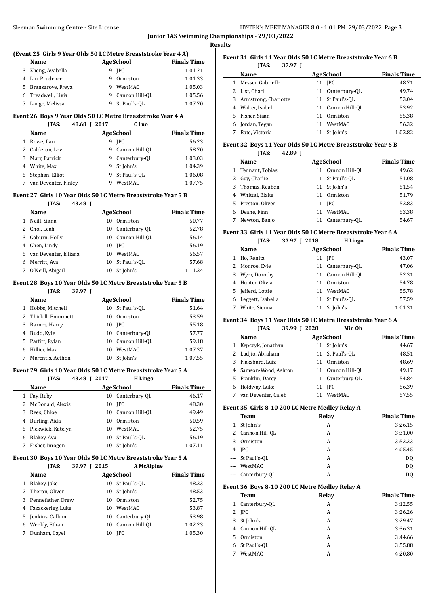#### Sleeman Swimming Centre - Site License

|                                                | HY-TEK's MEET MANAGER 8.0 - 1:01 PM 29/03/2022 Page 3 |  |  |
|------------------------------------------------|-------------------------------------------------------|--|--|
| Junior TAS Swimming Championships - 29/03/2022 |                                                       |  |  |

**Results**

#### **(Event 25 Girls 9 Year Olds 50 LC Metre Breaststroke Year 4 A)**

| AgeSchool<br><b>Name</b> |   |                  | <b>Finals Time</b> |  |
|--------------------------|---|------------------|--------------------|--|
| 3 Zheng, Avabella        |   | 9 IPC            | 1:01.21            |  |
| 4 Lin, Prudence          | 9 | Ormiston         | 1:01.33            |  |
| 5 Bransgrove, Freya      | 9 | WestMAC          | 1:05.03            |  |
| 6 Treadwell, Livia       |   | 9 Cannon Hill-OL | 1:05.56            |  |
| Lange, Melissa           |   | St Paul's-OL     | 1:07.70            |  |

#### **Event 26 Boys 9 Year Olds 50 LC Metre Breaststroke Year 4 A JTAS: 48.68 J 2017 C Luo**

|   | <b>Name</b>          |    | AgeSchool      | <b>Finals Time</b> |
|---|----------------------|----|----------------|--------------------|
|   | Rowe, Ilan           | 9. | <b>IPC</b>     | 56.23              |
|   | 2 Calderon, Levi     | 9  | Cannon Hill-OL | 58.70              |
| 3 | Marr, Patrick        | 9. | Canterbury-OL  | 1:03.03            |
|   | 4 White, Max         | 9  | St John's      | 1:04.39            |
|   | 5 Stephan, Elliot    | 9  | St Paul's-OL   | 1:06.08            |
|   | van Deventer, Finley | 9  | WestMAC        | 1:07.75            |

#### **Event 27 Girls 10 Year Olds 50 LC Metre Breaststroke Year 5 B**

# **JTAS: 43.48 J Name AgeSchool Finals Time**  Neill, Siana 10 Ormiston 50.77 Choi, Leah 10 Canterbury-QL 52.78 Coburn, Holly 10 Cannon Hill-QL 56.14 Chen, Lindy 10 JPC 56.19 van Deventer, Elliana 10 WestMAC 56.57 Merritt, Ava 10 St Paul's-QL 57.68 O'Neill, Abigail 10 St John's 1:11.24

# **Event 28 Boys 10 Year Olds 50 LC Metre Breaststroke Year 5 B**

| 39.97 |
|-------|
|       |

|   | Name                | AgeSchool |                  | <b>Finals Time</b> |
|---|---------------------|-----------|------------------|--------------------|
|   | Hobbs, Mitchell     | 10        | St Paul's-OL     | 51.64              |
|   | 2 Thirkill, Emmmett | 10        | Ormiston         | 53.59              |
| 3 | Barnes, Harry       |           | 10 IPC           | 55.18              |
| 4 | Budd, Kyle          |           | 10 Canterbury-OL | 57.77              |
|   | 5 Parfitt, Rylan    | 10        | Cannon Hill-OL   | 59.18              |
| 6 | Hillier. Max        | 10        | WestMAC          | 1:07.37            |
|   | Marentis, Aethon    | 10        | St John's        | 1:07.55            |

#### **Event 29 Girls 10 Year Olds 50 LC Metre Breaststroke Year 5 A JTAS: 43.48 J 2017 H Lingo**

| Name                | AgeSchool            | <b>Finals Time</b> |  |  |
|---------------------|----------------------|--------------------|--|--|
| Fay, Ruby<br>1      | Canterbury-OL<br>10  | 46.17              |  |  |
| 2 McDonald, Alexis  | 10 IPC               | 48.30              |  |  |
| Rees, Chloe<br>3    | Cannon Hill-OL<br>10 | 49.49              |  |  |
| 4 Burling, Aida     | Ormiston<br>10       | 50.59              |  |  |
| 5 Pickwick, Katelyn | WestMAC<br>10        | 52.75              |  |  |
| Blakey, Ava<br>6    | 10 St Paul's-OL      | 56.19              |  |  |
| Fisher, Imogen      | St John's<br>10      | 1:07.11            |  |  |
|                     |                      |                    |  |  |

#### **Event 30 Boys 10 Year Olds 50 LC Metre Breaststroke Year 5 A JTAS: 39.97 J 2015 A McAlpine**

|    | .                 |    | 1.1.1.01.01.01.01.00 |                    |
|----|-------------------|----|----------------------|--------------------|
|    | Name              |    | AgeSchool            | <b>Finals Time</b> |
|    | Blakey, Jake      |    | 10 St Paul's-OL      | 48.23              |
|    | 2 Theron, Oliver  |    | 10 St John's         | 48.53              |
| 3  | Pennefather, Drew | 10 | Ormiston             | 52.75              |
| 4  | Fazackerley, Luke | 10 | WestMAC              | 53.87              |
| 5. | Jenkins, Callum   | 10 | Canterbury-OL        | 53.98              |
| 6  | Weekly, Ethan     | 10 | Cannon Hill-OL       | 1:02.23            |
|    | Dunham, Cavel     | 10 | <b>IPC</b>           | 1:05.30            |

#### **Event 31 Girls 11 Year Olds 50 LC Metre Breaststroke Year 6 B JTAS: 37.97 J**

|   | Name                   |               | AgeSchool         | <b>Finals Time</b> |
|---|------------------------|---------------|-------------------|--------------------|
| 1 | Messer, Gabrielle      | 11 <b>IPC</b> |                   | 48.71              |
|   | 2 List, Charli         |               | 11 Canterbury-OL  | 49.74              |
|   | 3 Armstrong, Charlotte |               | 11 St Paul's-OL   | 53.04              |
| 4 | Walter, Isabel         |               | 11 Cannon Hill-OL | 53.92              |
|   | 5 Fisher, Siaan        | 11            | Ormiston          | 55.38              |
|   | 6 Jordan, Tegan        | 11            | WestMAC           | 56.32              |
|   | Bate, Victoria         |               | St John's         | 1:02.82            |

# **Event 32 Boys 11 Year Olds 50 LC Metre Breaststroke Year 6 B**

**JTAS: 42.89 J**

|   | Name              | <b>AgeSchool</b> |                   | <b>Finals Time</b> |
|---|-------------------|------------------|-------------------|--------------------|
|   | 1 Tennant, Tobias |                  | 11 Cannon Hill-OL | 49.62              |
|   | 2 Guy, Charlie    |                  | 11 St Paul's-OL   | 51.08              |
|   | 3 Thomas, Reuben  |                  | 11 St John's      | 51.54              |
|   | Whittal, Blake    |                  | 11 Ormiston       | 51.79              |
|   | 5 Preston, Oliver |                  | 11 <b>IPC</b>     | 52.83              |
| 6 | Deane, Finn       | 11               | WestMAC           | 53.38              |
|   | Newton, Banjo     |                  | 11 Canterbury-OL  | 54.67              |

# **Event 33 Girls 11 Year Olds 50 LC Metre Breaststroke Year 6 A**

**JTAS: 37.97 J 2018 H Lingo**

|    | Name              |    | AgeSchool         | <b>Finals Time</b> |
|----|-------------------|----|-------------------|--------------------|
|    | Ho, Renita        |    | 11 <b>IPC</b>     | 43.07              |
|    | 2 Monroe, Evie    |    | 11 Canterbury-OL  | 47.06              |
| 3  | Wyer, Dorothy     |    | 11 Cannon Hill-OL | 52.31              |
| 4  | Hunter, Olivia    | 11 | Ormiston          | 54.78              |
| 5. | Jefferd, Lottie   | 11 | WestMAC           | 55.78              |
|    | Leggett, Isabella |    | 11 St Paul's-OL   | 57.59              |
|    | White, Sienna     |    | 11 St John's      | 1:01.31            |

#### **Event 34 Boys 11 Year Olds 50 LC Metre Breaststroke Year 6 A**

|   | 39.99<br><b>ITAS:</b> | 2020 | Min Oh            |                    |
|---|-----------------------|------|-------------------|--------------------|
|   | Name                  |      | <b>AgeSchool</b>  | <b>Finals Time</b> |
|   | Kepczyk, Jonathan     | 11   | St John's         | 44.67              |
| 2 | Ludjio, Abraham       |      | 11 St Paul's-OL   | 48.51              |
| 3 | Flaksbard, Luiz       | 11   | Ormiston          | 48.69              |
|   | Samson-Wood, Ashton   |      | 11 Cannon Hill-OL | 49.17              |
| 5 | Franklin, Darcy       | 11   | Canterbury-OL     | 54.84              |
| 6 | Holdway, Luke         | 11   | <b>IPC</b>        | 56.39              |
|   | van Deventer, Caleb   |      | WestMAC           | 57.55              |

#### **Event 35 Girls 8-10 200 LC Metre Medley Relay A**

|   | <b>Team</b>       | Relay | <b>Finals Time</b> |
|---|-------------------|-------|--------------------|
| 1 | St John's         | А     | 3:26.15            |
|   | 2 Cannon Hill-OL  | А     | 3:31.00            |
| 3 | Ormiston          | А     | 3:53.33            |
|   | 4 IPC             | А     | 4:05.45            |
|   | --- St Paul's-OL  | А     | D <sub>0</sub>     |
|   | --- WestMAC       | А     | D <sub>0</sub>     |
|   | --- Canterbury-OL | А     | D <sub>0</sub>     |

#### **Event 36 Boys 8-10 200 LC Metre Medley Relay A**

 $\overline{a}$ 

|    | <b>Team</b>      | Relay | <b>Finals Time</b> |
|----|------------------|-------|--------------------|
|    | 1 Canterbury-OL  | A     | 3:12.55            |
|    | 2 IPC            | A     | 3:26.26            |
|    | 3 St John's      | A     | 3:29.47            |
|    | 4 Cannon Hill-OL | A     | 3:36.31            |
| 5. | Ormiston         | A     | 3:44.66            |
|    | 6 St Paul's-OL   | A     | 3:55.88            |
|    | WestMAC          | A     | 4:20.80            |
|    |                  |       |                    |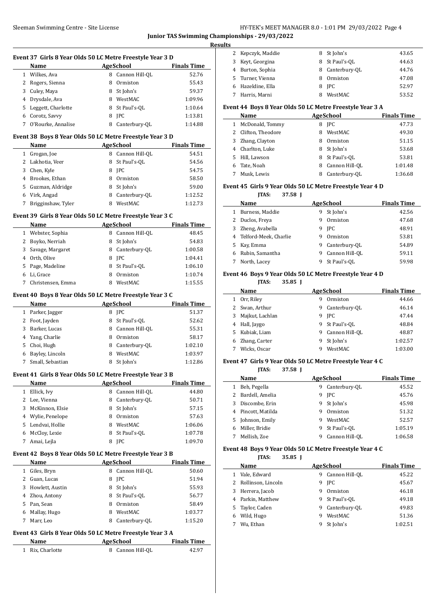# HY-TEK's MEET MANAGER 8.0 - 1:01 PM 29/03/2022 Page 4 **Junior TAS Swimming Championships - 29/03/2022**

**Results**

| Event 37 Girls 8 Year Olds 50 LC Metre Freestyle Year 3 D<br><b>AgeSchool</b><br>Name<br>1 Wilkes, Ava<br>8 Cannon Hill-QL<br>2 Rogers, Sienna<br>Ormiston<br>8<br>3 Culey, Maya<br>8 St John's<br>4 Drysdale, Ava<br>8 WestMAC<br>5 Leggett, Charlotte<br>8 St Paul's-QL<br>6 Corotz, Savvy<br>8 JPC<br>7 O'Rourke, Annalise<br>8 Canterbury-QL<br>Event 38 Boys 8 Year Olds 50 LC Metre Freestyle Year 3 D<br><b>Example 2</b> AgeSchool<br>Name<br>8 Cannon Hill-QL<br>1 Grogan, Joe<br>2 Lakhotia, Veer<br>8 St Paul's-QL<br>3 Chen, Kyle<br><b>IPC</b><br>8<br>4 Brookes, Ethan<br>8 Ormiston<br>5 Guzman, Aldridge<br>8<br>St John's<br>6 Virk, Angad<br>8 Canterbury-OL<br>7 Brigginshaw, Tyler<br>8 WestMAC<br>Event 39 Girls 8 Year Olds 50 LC Metre Freestyle Year 3 C<br><b>AgeSchool</b><br>Name<br>1 Webster, Sophia<br>8 Cannon Hill-QL<br>2 Boyko, Nerriah<br>8 St John's<br>3 Savage, Margaret<br>8 Canterbury-QL<br>4 Orth, Olive<br>8 JPC<br>5 Page, Madeline<br>8 St Paul's-QL<br>6 Li, Grace<br>8<br>Ormiston<br>8 WestMAC<br>7<br>Christensen, Emma<br>Event 40 Boys 8 Year Olds 50 LC Metre Freestyle Year 3 C<br><b>AgeSchool</b><br>Name<br>1 Parker, Jagger<br>8 JPC<br>8 St Paul's-QL<br>2 Foot, Jayden<br>3 Barker, Lucas<br>8 Cannon Hill-QL<br>4<br>Yang, Charlie<br>8<br>Ormiston<br>Choi, Hugh<br>Canterbury-QL<br>5.<br>8<br>6 Bayley, Lincoln<br>WestMAC<br>8<br>Small, Sebastian<br>St John's<br>7<br>8<br>Event 41 Girls 8 Year Olds 50 LC Metre Freestyle Year 3 B<br>AgeSchool<br>Name<br>1 Ellick, Ivy<br>8 Cannon Hill-QL<br>2 Lee, Vienna<br>Canterbury-QL<br>8<br>St John's<br>3 McKinnon, Elsie<br>8<br>4 Wylie, Penelope<br>Ormiston<br>8<br>5 Lendvai, Hollie<br>WestMAC<br>8<br>6 McCloy, Lexie<br>St Paul's-OL<br>8<br>7<br>Amai, Lejla<br><b>JPC</b><br>8<br>Event 42 Boys 8 Year Olds 50 LC Metre Freestyle Year 3 B<br><b>AgeSchool</b><br>Name<br>8 Cannon Hill-QL<br>1 Giles, Bryn<br>2 Guan, Lucas<br>8<br>JPC<br>3 Howlett, Austin<br>St John's<br>8<br>4 Zhou, Antony<br>St Paul's-QL<br>8<br>5 Pan, Sean<br>8<br>Ormiston<br>6 Mallay, Hugo<br>8<br>WestMAC<br>Marr, Leo<br>Canterbury-QL<br>7<br>8<br>Event 43 Girls 8 Year Olds 50 LC Metre Freestyle Year 3 A<br><b>AgeSchool</b><br>Name<br>Rix, Charlotte<br>Cannon Hill-QL<br>42.97<br>$\mathbf{1}$<br>8 |  |  | <b>Junior TAS Swimming Character</b> |
|-----------------------------------------------------------------------------------------------------------------------------------------------------------------------------------------------------------------------------------------------------------------------------------------------------------------------------------------------------------------------------------------------------------------------------------------------------------------------------------------------------------------------------------------------------------------------------------------------------------------------------------------------------------------------------------------------------------------------------------------------------------------------------------------------------------------------------------------------------------------------------------------------------------------------------------------------------------------------------------------------------------------------------------------------------------------------------------------------------------------------------------------------------------------------------------------------------------------------------------------------------------------------------------------------------------------------------------------------------------------------------------------------------------------------------------------------------------------------------------------------------------------------------------------------------------------------------------------------------------------------------------------------------------------------------------------------------------------------------------------------------------------------------------------------------------------------------------------------------------------------------------------------------------------------------------------------------------------------------------------------------------------------------------------------------------------------------------------------------------------------------------------------------------------------------------------------------------------------------------------------------------------------------------------------------------------------|--|--|--------------------------------------|
|                                                                                                                                                                                                                                                                                                                                                                                                                                                                                                                                                                                                                                                                                                                                                                                                                                                                                                                                                                                                                                                                                                                                                                                                                                                                                                                                                                                                                                                                                                                                                                                                                                                                                                                                                                                                                                                                                                                                                                                                                                                                                                                                                                                                                                                                                                                       |  |  |                                      |
|                                                                                                                                                                                                                                                                                                                                                                                                                                                                                                                                                                                                                                                                                                                                                                                                                                                                                                                                                                                                                                                                                                                                                                                                                                                                                                                                                                                                                                                                                                                                                                                                                                                                                                                                                                                                                                                                                                                                                                                                                                                                                                                                                                                                                                                                                                                       |  |  | <b>Finals Time</b>                   |
|                                                                                                                                                                                                                                                                                                                                                                                                                                                                                                                                                                                                                                                                                                                                                                                                                                                                                                                                                                                                                                                                                                                                                                                                                                                                                                                                                                                                                                                                                                                                                                                                                                                                                                                                                                                                                                                                                                                                                                                                                                                                                                                                                                                                                                                                                                                       |  |  | 52.76                                |
|                                                                                                                                                                                                                                                                                                                                                                                                                                                                                                                                                                                                                                                                                                                                                                                                                                                                                                                                                                                                                                                                                                                                                                                                                                                                                                                                                                                                                                                                                                                                                                                                                                                                                                                                                                                                                                                                                                                                                                                                                                                                                                                                                                                                                                                                                                                       |  |  | 55.43                                |
|                                                                                                                                                                                                                                                                                                                                                                                                                                                                                                                                                                                                                                                                                                                                                                                                                                                                                                                                                                                                                                                                                                                                                                                                                                                                                                                                                                                                                                                                                                                                                                                                                                                                                                                                                                                                                                                                                                                                                                                                                                                                                                                                                                                                                                                                                                                       |  |  | 59.37                                |
|                                                                                                                                                                                                                                                                                                                                                                                                                                                                                                                                                                                                                                                                                                                                                                                                                                                                                                                                                                                                                                                                                                                                                                                                                                                                                                                                                                                                                                                                                                                                                                                                                                                                                                                                                                                                                                                                                                                                                                                                                                                                                                                                                                                                                                                                                                                       |  |  | 1:09.96                              |
|                                                                                                                                                                                                                                                                                                                                                                                                                                                                                                                                                                                                                                                                                                                                                                                                                                                                                                                                                                                                                                                                                                                                                                                                                                                                                                                                                                                                                                                                                                                                                                                                                                                                                                                                                                                                                                                                                                                                                                                                                                                                                                                                                                                                                                                                                                                       |  |  | 1:10.64                              |
|                                                                                                                                                                                                                                                                                                                                                                                                                                                                                                                                                                                                                                                                                                                                                                                                                                                                                                                                                                                                                                                                                                                                                                                                                                                                                                                                                                                                                                                                                                                                                                                                                                                                                                                                                                                                                                                                                                                                                                                                                                                                                                                                                                                                                                                                                                                       |  |  | 1:13.81                              |
|                                                                                                                                                                                                                                                                                                                                                                                                                                                                                                                                                                                                                                                                                                                                                                                                                                                                                                                                                                                                                                                                                                                                                                                                                                                                                                                                                                                                                                                                                                                                                                                                                                                                                                                                                                                                                                                                                                                                                                                                                                                                                                                                                                                                                                                                                                                       |  |  | 1:14.88                              |
|                                                                                                                                                                                                                                                                                                                                                                                                                                                                                                                                                                                                                                                                                                                                                                                                                                                                                                                                                                                                                                                                                                                                                                                                                                                                                                                                                                                                                                                                                                                                                                                                                                                                                                                                                                                                                                                                                                                                                                                                                                                                                                                                                                                                                                                                                                                       |  |  |                                      |
|                                                                                                                                                                                                                                                                                                                                                                                                                                                                                                                                                                                                                                                                                                                                                                                                                                                                                                                                                                                                                                                                                                                                                                                                                                                                                                                                                                                                                                                                                                                                                                                                                                                                                                                                                                                                                                                                                                                                                                                                                                                                                                                                                                                                                                                                                                                       |  |  | <b>Finals Time</b>                   |
|                                                                                                                                                                                                                                                                                                                                                                                                                                                                                                                                                                                                                                                                                                                                                                                                                                                                                                                                                                                                                                                                                                                                                                                                                                                                                                                                                                                                                                                                                                                                                                                                                                                                                                                                                                                                                                                                                                                                                                                                                                                                                                                                                                                                                                                                                                                       |  |  | 54.51                                |
|                                                                                                                                                                                                                                                                                                                                                                                                                                                                                                                                                                                                                                                                                                                                                                                                                                                                                                                                                                                                                                                                                                                                                                                                                                                                                                                                                                                                                                                                                                                                                                                                                                                                                                                                                                                                                                                                                                                                                                                                                                                                                                                                                                                                                                                                                                                       |  |  | 54.56                                |
|                                                                                                                                                                                                                                                                                                                                                                                                                                                                                                                                                                                                                                                                                                                                                                                                                                                                                                                                                                                                                                                                                                                                                                                                                                                                                                                                                                                                                                                                                                                                                                                                                                                                                                                                                                                                                                                                                                                                                                                                                                                                                                                                                                                                                                                                                                                       |  |  | 54.75                                |
|                                                                                                                                                                                                                                                                                                                                                                                                                                                                                                                                                                                                                                                                                                                                                                                                                                                                                                                                                                                                                                                                                                                                                                                                                                                                                                                                                                                                                                                                                                                                                                                                                                                                                                                                                                                                                                                                                                                                                                                                                                                                                                                                                                                                                                                                                                                       |  |  | 58.50                                |
|                                                                                                                                                                                                                                                                                                                                                                                                                                                                                                                                                                                                                                                                                                                                                                                                                                                                                                                                                                                                                                                                                                                                                                                                                                                                                                                                                                                                                                                                                                                                                                                                                                                                                                                                                                                                                                                                                                                                                                                                                                                                                                                                                                                                                                                                                                                       |  |  | 59.00                                |
|                                                                                                                                                                                                                                                                                                                                                                                                                                                                                                                                                                                                                                                                                                                                                                                                                                                                                                                                                                                                                                                                                                                                                                                                                                                                                                                                                                                                                                                                                                                                                                                                                                                                                                                                                                                                                                                                                                                                                                                                                                                                                                                                                                                                                                                                                                                       |  |  | 1:12.52                              |
|                                                                                                                                                                                                                                                                                                                                                                                                                                                                                                                                                                                                                                                                                                                                                                                                                                                                                                                                                                                                                                                                                                                                                                                                                                                                                                                                                                                                                                                                                                                                                                                                                                                                                                                                                                                                                                                                                                                                                                                                                                                                                                                                                                                                                                                                                                                       |  |  | 1:12.73                              |
|                                                                                                                                                                                                                                                                                                                                                                                                                                                                                                                                                                                                                                                                                                                                                                                                                                                                                                                                                                                                                                                                                                                                                                                                                                                                                                                                                                                                                                                                                                                                                                                                                                                                                                                                                                                                                                                                                                                                                                                                                                                                                                                                                                                                                                                                                                                       |  |  |                                      |
|                                                                                                                                                                                                                                                                                                                                                                                                                                                                                                                                                                                                                                                                                                                                                                                                                                                                                                                                                                                                                                                                                                                                                                                                                                                                                                                                                                                                                                                                                                                                                                                                                                                                                                                                                                                                                                                                                                                                                                                                                                                                                                                                                                                                                                                                                                                       |  |  | <b>Finals Time</b>                   |
|                                                                                                                                                                                                                                                                                                                                                                                                                                                                                                                                                                                                                                                                                                                                                                                                                                                                                                                                                                                                                                                                                                                                                                                                                                                                                                                                                                                                                                                                                                                                                                                                                                                                                                                                                                                                                                                                                                                                                                                                                                                                                                                                                                                                                                                                                                                       |  |  | 48.45                                |
|                                                                                                                                                                                                                                                                                                                                                                                                                                                                                                                                                                                                                                                                                                                                                                                                                                                                                                                                                                                                                                                                                                                                                                                                                                                                                                                                                                                                                                                                                                                                                                                                                                                                                                                                                                                                                                                                                                                                                                                                                                                                                                                                                                                                                                                                                                                       |  |  | 54.83                                |
|                                                                                                                                                                                                                                                                                                                                                                                                                                                                                                                                                                                                                                                                                                                                                                                                                                                                                                                                                                                                                                                                                                                                                                                                                                                                                                                                                                                                                                                                                                                                                                                                                                                                                                                                                                                                                                                                                                                                                                                                                                                                                                                                                                                                                                                                                                                       |  |  | 1:00.58                              |
|                                                                                                                                                                                                                                                                                                                                                                                                                                                                                                                                                                                                                                                                                                                                                                                                                                                                                                                                                                                                                                                                                                                                                                                                                                                                                                                                                                                                                                                                                                                                                                                                                                                                                                                                                                                                                                                                                                                                                                                                                                                                                                                                                                                                                                                                                                                       |  |  | 1:04.41                              |
|                                                                                                                                                                                                                                                                                                                                                                                                                                                                                                                                                                                                                                                                                                                                                                                                                                                                                                                                                                                                                                                                                                                                                                                                                                                                                                                                                                                                                                                                                                                                                                                                                                                                                                                                                                                                                                                                                                                                                                                                                                                                                                                                                                                                                                                                                                                       |  |  | 1:06.10                              |
|                                                                                                                                                                                                                                                                                                                                                                                                                                                                                                                                                                                                                                                                                                                                                                                                                                                                                                                                                                                                                                                                                                                                                                                                                                                                                                                                                                                                                                                                                                                                                                                                                                                                                                                                                                                                                                                                                                                                                                                                                                                                                                                                                                                                                                                                                                                       |  |  | 1:10.74                              |
|                                                                                                                                                                                                                                                                                                                                                                                                                                                                                                                                                                                                                                                                                                                                                                                                                                                                                                                                                                                                                                                                                                                                                                                                                                                                                                                                                                                                                                                                                                                                                                                                                                                                                                                                                                                                                                                                                                                                                                                                                                                                                                                                                                                                                                                                                                                       |  |  | 1:15.55                              |
|                                                                                                                                                                                                                                                                                                                                                                                                                                                                                                                                                                                                                                                                                                                                                                                                                                                                                                                                                                                                                                                                                                                                                                                                                                                                                                                                                                                                                                                                                                                                                                                                                                                                                                                                                                                                                                                                                                                                                                                                                                                                                                                                                                                                                                                                                                                       |  |  |                                      |
|                                                                                                                                                                                                                                                                                                                                                                                                                                                                                                                                                                                                                                                                                                                                                                                                                                                                                                                                                                                                                                                                                                                                                                                                                                                                                                                                                                                                                                                                                                                                                                                                                                                                                                                                                                                                                                                                                                                                                                                                                                                                                                                                                                                                                                                                                                                       |  |  | <b>Finals Time</b>                   |
|                                                                                                                                                                                                                                                                                                                                                                                                                                                                                                                                                                                                                                                                                                                                                                                                                                                                                                                                                                                                                                                                                                                                                                                                                                                                                                                                                                                                                                                                                                                                                                                                                                                                                                                                                                                                                                                                                                                                                                                                                                                                                                                                                                                                                                                                                                                       |  |  | 51.37                                |
|                                                                                                                                                                                                                                                                                                                                                                                                                                                                                                                                                                                                                                                                                                                                                                                                                                                                                                                                                                                                                                                                                                                                                                                                                                                                                                                                                                                                                                                                                                                                                                                                                                                                                                                                                                                                                                                                                                                                                                                                                                                                                                                                                                                                                                                                                                                       |  |  | 52.62                                |
|                                                                                                                                                                                                                                                                                                                                                                                                                                                                                                                                                                                                                                                                                                                                                                                                                                                                                                                                                                                                                                                                                                                                                                                                                                                                                                                                                                                                                                                                                                                                                                                                                                                                                                                                                                                                                                                                                                                                                                                                                                                                                                                                                                                                                                                                                                                       |  |  | 55.31                                |
|                                                                                                                                                                                                                                                                                                                                                                                                                                                                                                                                                                                                                                                                                                                                                                                                                                                                                                                                                                                                                                                                                                                                                                                                                                                                                                                                                                                                                                                                                                                                                                                                                                                                                                                                                                                                                                                                                                                                                                                                                                                                                                                                                                                                                                                                                                                       |  |  | 58.17                                |
|                                                                                                                                                                                                                                                                                                                                                                                                                                                                                                                                                                                                                                                                                                                                                                                                                                                                                                                                                                                                                                                                                                                                                                                                                                                                                                                                                                                                                                                                                                                                                                                                                                                                                                                                                                                                                                                                                                                                                                                                                                                                                                                                                                                                                                                                                                                       |  |  | 1:02.10                              |
|                                                                                                                                                                                                                                                                                                                                                                                                                                                                                                                                                                                                                                                                                                                                                                                                                                                                                                                                                                                                                                                                                                                                                                                                                                                                                                                                                                                                                                                                                                                                                                                                                                                                                                                                                                                                                                                                                                                                                                                                                                                                                                                                                                                                                                                                                                                       |  |  | 1:03.97                              |
|                                                                                                                                                                                                                                                                                                                                                                                                                                                                                                                                                                                                                                                                                                                                                                                                                                                                                                                                                                                                                                                                                                                                                                                                                                                                                                                                                                                                                                                                                                                                                                                                                                                                                                                                                                                                                                                                                                                                                                                                                                                                                                                                                                                                                                                                                                                       |  |  | 1:12.86                              |
|                                                                                                                                                                                                                                                                                                                                                                                                                                                                                                                                                                                                                                                                                                                                                                                                                                                                                                                                                                                                                                                                                                                                                                                                                                                                                                                                                                                                                                                                                                                                                                                                                                                                                                                                                                                                                                                                                                                                                                                                                                                                                                                                                                                                                                                                                                                       |  |  |                                      |
|                                                                                                                                                                                                                                                                                                                                                                                                                                                                                                                                                                                                                                                                                                                                                                                                                                                                                                                                                                                                                                                                                                                                                                                                                                                                                                                                                                                                                                                                                                                                                                                                                                                                                                                                                                                                                                                                                                                                                                                                                                                                                                                                                                                                                                                                                                                       |  |  | <b>Finals Time</b>                   |
|                                                                                                                                                                                                                                                                                                                                                                                                                                                                                                                                                                                                                                                                                                                                                                                                                                                                                                                                                                                                                                                                                                                                                                                                                                                                                                                                                                                                                                                                                                                                                                                                                                                                                                                                                                                                                                                                                                                                                                                                                                                                                                                                                                                                                                                                                                                       |  |  | 44.80                                |
|                                                                                                                                                                                                                                                                                                                                                                                                                                                                                                                                                                                                                                                                                                                                                                                                                                                                                                                                                                                                                                                                                                                                                                                                                                                                                                                                                                                                                                                                                                                                                                                                                                                                                                                                                                                                                                                                                                                                                                                                                                                                                                                                                                                                                                                                                                                       |  |  | 50.71                                |
|                                                                                                                                                                                                                                                                                                                                                                                                                                                                                                                                                                                                                                                                                                                                                                                                                                                                                                                                                                                                                                                                                                                                                                                                                                                                                                                                                                                                                                                                                                                                                                                                                                                                                                                                                                                                                                                                                                                                                                                                                                                                                                                                                                                                                                                                                                                       |  |  | 57.15                                |
|                                                                                                                                                                                                                                                                                                                                                                                                                                                                                                                                                                                                                                                                                                                                                                                                                                                                                                                                                                                                                                                                                                                                                                                                                                                                                                                                                                                                                                                                                                                                                                                                                                                                                                                                                                                                                                                                                                                                                                                                                                                                                                                                                                                                                                                                                                                       |  |  | 57.63                                |
|                                                                                                                                                                                                                                                                                                                                                                                                                                                                                                                                                                                                                                                                                                                                                                                                                                                                                                                                                                                                                                                                                                                                                                                                                                                                                                                                                                                                                                                                                                                                                                                                                                                                                                                                                                                                                                                                                                                                                                                                                                                                                                                                                                                                                                                                                                                       |  |  | 1:06.06                              |
|                                                                                                                                                                                                                                                                                                                                                                                                                                                                                                                                                                                                                                                                                                                                                                                                                                                                                                                                                                                                                                                                                                                                                                                                                                                                                                                                                                                                                                                                                                                                                                                                                                                                                                                                                                                                                                                                                                                                                                                                                                                                                                                                                                                                                                                                                                                       |  |  | 1:07.78                              |
|                                                                                                                                                                                                                                                                                                                                                                                                                                                                                                                                                                                                                                                                                                                                                                                                                                                                                                                                                                                                                                                                                                                                                                                                                                                                                                                                                                                                                                                                                                                                                                                                                                                                                                                                                                                                                                                                                                                                                                                                                                                                                                                                                                                                                                                                                                                       |  |  | 1:09.70                              |
|                                                                                                                                                                                                                                                                                                                                                                                                                                                                                                                                                                                                                                                                                                                                                                                                                                                                                                                                                                                                                                                                                                                                                                                                                                                                                                                                                                                                                                                                                                                                                                                                                                                                                                                                                                                                                                                                                                                                                                                                                                                                                                                                                                                                                                                                                                                       |  |  |                                      |
|                                                                                                                                                                                                                                                                                                                                                                                                                                                                                                                                                                                                                                                                                                                                                                                                                                                                                                                                                                                                                                                                                                                                                                                                                                                                                                                                                                                                                                                                                                                                                                                                                                                                                                                                                                                                                                                                                                                                                                                                                                                                                                                                                                                                                                                                                                                       |  |  | <b>Finals Time</b>                   |
|                                                                                                                                                                                                                                                                                                                                                                                                                                                                                                                                                                                                                                                                                                                                                                                                                                                                                                                                                                                                                                                                                                                                                                                                                                                                                                                                                                                                                                                                                                                                                                                                                                                                                                                                                                                                                                                                                                                                                                                                                                                                                                                                                                                                                                                                                                                       |  |  | 50.60                                |
|                                                                                                                                                                                                                                                                                                                                                                                                                                                                                                                                                                                                                                                                                                                                                                                                                                                                                                                                                                                                                                                                                                                                                                                                                                                                                                                                                                                                                                                                                                                                                                                                                                                                                                                                                                                                                                                                                                                                                                                                                                                                                                                                                                                                                                                                                                                       |  |  | 51.94                                |
|                                                                                                                                                                                                                                                                                                                                                                                                                                                                                                                                                                                                                                                                                                                                                                                                                                                                                                                                                                                                                                                                                                                                                                                                                                                                                                                                                                                                                                                                                                                                                                                                                                                                                                                                                                                                                                                                                                                                                                                                                                                                                                                                                                                                                                                                                                                       |  |  |                                      |
|                                                                                                                                                                                                                                                                                                                                                                                                                                                                                                                                                                                                                                                                                                                                                                                                                                                                                                                                                                                                                                                                                                                                                                                                                                                                                                                                                                                                                                                                                                                                                                                                                                                                                                                                                                                                                                                                                                                                                                                                                                                                                                                                                                                                                                                                                                                       |  |  | 55.93                                |
|                                                                                                                                                                                                                                                                                                                                                                                                                                                                                                                                                                                                                                                                                                                                                                                                                                                                                                                                                                                                                                                                                                                                                                                                                                                                                                                                                                                                                                                                                                                                                                                                                                                                                                                                                                                                                                                                                                                                                                                                                                                                                                                                                                                                                                                                                                                       |  |  | 56.77                                |
|                                                                                                                                                                                                                                                                                                                                                                                                                                                                                                                                                                                                                                                                                                                                                                                                                                                                                                                                                                                                                                                                                                                                                                                                                                                                                                                                                                                                                                                                                                                                                                                                                                                                                                                                                                                                                                                                                                                                                                                                                                                                                                                                                                                                                                                                                                                       |  |  | 58.49                                |
|                                                                                                                                                                                                                                                                                                                                                                                                                                                                                                                                                                                                                                                                                                                                                                                                                                                                                                                                                                                                                                                                                                                                                                                                                                                                                                                                                                                                                                                                                                                                                                                                                                                                                                                                                                                                                                                                                                                                                                                                                                                                                                                                                                                                                                                                                                                       |  |  |                                      |
|                                                                                                                                                                                                                                                                                                                                                                                                                                                                                                                                                                                                                                                                                                                                                                                                                                                                                                                                                                                                                                                                                                                                                                                                                                                                                                                                                                                                                                                                                                                                                                                                                                                                                                                                                                                                                                                                                                                                                                                                                                                                                                                                                                                                                                                                                                                       |  |  | 1:03.77<br>1:15.20                   |
|                                                                                                                                                                                                                                                                                                                                                                                                                                                                                                                                                                                                                                                                                                                                                                                                                                                                                                                                                                                                                                                                                                                                                                                                                                                                                                                                                                                                                                                                                                                                                                                                                                                                                                                                                                                                                                                                                                                                                                                                                                                                                                                                                                                                                                                                                                                       |  |  |                                      |
|                                                                                                                                                                                                                                                                                                                                                                                                                                                                                                                                                                                                                                                                                                                                                                                                                                                                                                                                                                                                                                                                                                                                                                                                                                                                                                                                                                                                                                                                                                                                                                                                                                                                                                                                                                                                                                                                                                                                                                                                                                                                                                                                                                                                                                                                                                                       |  |  | <b>Finals Time</b>                   |

|    | 2 Kepczyk, Maddie |   | 8 St John's    | 43.65 |
|----|-------------------|---|----------------|-------|
| 3. | Keyt, Georgina    |   | 8 St Paul's-OL | 44.63 |
|    | Burton, Sophia    | 8 | Canterbury-OL  | 44.76 |
|    | 5 Turner, Vienna  | 8 | Ormiston       | 47.08 |
| 6  | Hazeldine, Ella   |   | 8 IPC          | 52.97 |
|    | Harris, Marni     | 8 | WestMAC        | 53.52 |

# **Event 44 Boys 8 Year Olds 50 LC Metre Freestyle Year 3 A**

|    | Name                |    | AgeSchool      | <b>Finals Time</b> |
|----|---------------------|----|----------------|--------------------|
|    | 1 McDonald, Tommy   | 8  | <b>IPC</b>     | 47.73              |
|    | 2 Clifton, Theodore | 8  | WestMAC        | 49.30              |
|    | 3 Zhang, Clayton    | 8  | Ormiston       | 51.15              |
|    | 4 Charlton, Luke    | 8  | St John's      | 53.68              |
| 5. | Hill, Lawson        | 8. | St Paul's-OL   | 53.81              |
| 6. | Tate, Noah          | 8  | Cannon Hill-OL | 1:01.48            |
|    | Musk, Lewis         |    | Canterbury-OL  | 1:36.68            |

# **Event 45 Girls 9 Year Olds 50 LC Metre Freestyle Year 4 D**

**JTAS: 37.58 J**

|   | Name                    |   | <b>AgeSchool</b> | <b>Finals Time</b> |
|---|-------------------------|---|------------------|--------------------|
|   | Burness, Maddie         | 9 | St John's        | 42.56              |
| 2 | Duclos, Freya           | 9 | Ormiston         | 47.68              |
| 3 | Zheng, Avabella         | 9 | <b>IPC</b>       | 48.91              |
|   | 4 Telford-Meek, Charlie | 9 | Ormiston         | 53.81              |
| 5 | Kay, Emma               | 9 | Canterbury-OL    | 54.89              |
| 6 | Rubin, Samantha         | 9 | Cannon Hill-OL   | 59.11              |
|   | North, Lacey            | 9 | St Paul's-OL     | 59.98              |
|   |                         |   |                  |                    |

# **Event 46 Boys 9 Year Olds 50 LC Metre Freestyle Year 4 D**

**JTAS: 35.85 J**

|   | Name            |   | AgeSchool      | <b>Finals Time</b> |
|---|-----------------|---|----------------|--------------------|
| 1 | Orr, Riley      | 9 | Ormiston       | 44.66              |
|   | 2 Swan, Arthur  | 9 | Canterbury-QL  | 46.14              |
| 3 | Majkut, Lachlan | 9 | <b>IPC</b>     | 47.44              |
| 4 | Hall, Jaygo     | 9 | St Paul's-OL   | 48.84              |
|   | 5 Kubiak, Liam  | 9 | Cannon Hill-OL | 48.87              |
| 6 | Zhang, Carter   | 9 | St John's      | 1:02.57            |
|   | Wicks, Oscar    |   | WestMAC        | 1:03.00            |
|   |                 |   |                |                    |

# **Event 47 Girls 9 Year Olds 50 LC Metre Freestyle Year 4 C**

**JTAS: 37.58 J**

|   | Name             |   | <b>AgeSchool</b> | <b>Finals Time</b> |
|---|------------------|---|------------------|--------------------|
| 1 | Beh, Pegella     | 9 | Canterbury-OL    | 45.52              |
| 2 | Bardell, Amelia  | 9 | <b>IPC</b>       | 45.76              |
|   | 3 Discombe, Erin | 9 | St John's        | 45.98              |
| 4 | Pincott, Matilda | 9 | Ormiston         | 51.32              |
|   | 5 Johnson, Emily | 9 | WestMAC          | 52.57              |
| 6 | Miller, Bridie   | 9 | St Paul's-OL     | 1:05.19            |
|   | Mellish, Zoe     | 9 | Cannon Hill-OL   | 1:06.58            |

### **Event 48 Boys 9 Year Olds 50 LC Metre Freestyle Year 4 C**

**JTAS: 35.85 J**

|   | <b>Name</b>          | AgeSchool | <b>Finals Time</b> |         |
|---|----------------------|-----------|--------------------|---------|
| 1 | Vale, Edward         | 9         | Cannon Hill-OL     | 45.22   |
|   | 2 Rollinson, Lincoln | 9         | <b>IPC</b>         | 45.67   |
|   | 3 Herrera, Jacob     | 9         | Ormiston           | 46.18   |
|   | 4 Parkin, Matthew    | 9         | St Paul's-OL       | 49.18   |
|   | 5 Taylor, Caden      | 9         | Canterbury-OL      | 49.83   |
| 6 | Wild, Hugo           | 9         | WestMAC            | 51.36   |
|   | Wu, Ethan            |           | St John's          | 1:02.51 |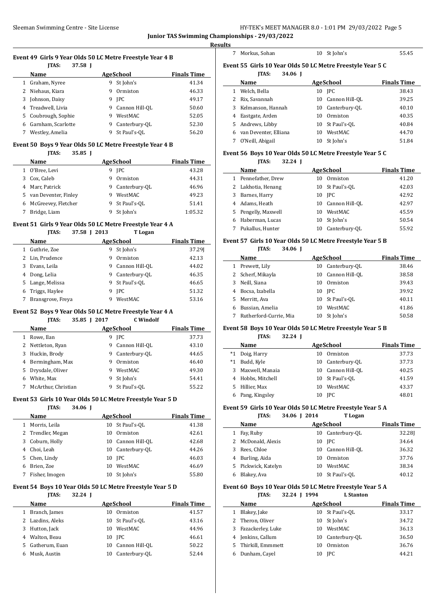**Results**

 $\sim$ 

#### **Event 49 Girls 9 Year Olds 50 LC Metre Freestyle Year 4 B JTAS: 37.58 J**

|    | наз:<br>37.JO I    |                     |                    |
|----|--------------------|---------------------|--------------------|
|    | Name               | AgeSchool           | <b>Finals Time</b> |
|    | Graham, Nyree      | St John's<br>9      | 41.34              |
|    | 2 Niehaus, Kiara   | Ormiston<br>9       | 46.33              |
| 3  | Johnson, Daisy     | <b>IPC</b><br>9     | 49.17              |
|    | 4 Treadwell, Livia | Cannon Hill-OL<br>9 | 50.60              |
| 5. | Coubrough, Sophie  | WestMAC<br>9        | 52.05              |
| 6  | Garnham, Scarlotte | Canterbury-OL<br>9  | 52.30              |
|    | Westley, Amelia    | St Paul's-OL<br>9   | 56.20              |

# **Event 50 Boys 9 Year Olds 50 LC Metre Freestyle Year 4 B**

#### **JTAS: 35.85 J**

|    | Name                  |   | <b>AgeSchool</b> | <b>Finals Time</b> |
|----|-----------------------|---|------------------|--------------------|
|    | O'Bree, Levi          | 9 | <b>IPC</b>       | 43.28              |
| 3  | Cox, Caleb            | 9 | Ormiston         | 44.31              |
|    | 4 Marr, Patrick       | 9 | Canterbury-OL    | 46.96              |
| 5. | van Deventer, Finley  | 9 | WestMAC          | 49.23              |
|    | 6 McGreevey, Fletcher | 9 | St Paul's-OL     | 51.41              |
|    | Bridge, Liam          |   | St John's        | 1:05.32            |

#### **Event 51 Girls 9 Year Olds 50 LC Metre Freestyle Year 4 A**

| JTAS: | 37.58 J 2013 | T Logan |
|-------|--------------|---------|

|    | Name              | AgeSchool | <b>Finals Time</b> |        |
|----|-------------------|-----------|--------------------|--------|
|    | Guthrie, Zoe      | 9         | St John's          | 37.291 |
|    | 2 Lin, Prudence   | 9         | Ormiston           | 42.13  |
| 3  | Evans, Leila      | 9         | Cannon Hill-OL     | 44.02  |
| 4  | Dong, Lelia       | 9         | Canterbury-OL      | 46.35  |
| 5. | Lange, Melissa    |           | 9 St Paul's-OL     | 46.65  |
| 6  | Triggs, Haylee    | 9         | <b>IPC</b>         | 51.32  |
|    | Bransgrove, Freya | q         | WestMAC            | 53.16  |

#### **Event 52 Boys 9 Year Olds 50 LC Metre Freestyle Year 4 A**

**JTAS: 35.85 J 2017 C Windolf**

| <b>Finals Time</b> |
|--------------------|
| 37.73              |
| 43.10              |
| 44.65              |
| 46.40              |
| 49.30              |
| 54.41              |
| 55.22              |
|                    |

#### **Event 53 Girls 10 Year Olds 50 LC Metre Freestyle Year 5 D**

#### **JTAS: 34.06 J**

|              | Name              | AgeSchool |                  | <b>Finals Time</b> |
|--------------|-------------------|-----------|------------------|--------------------|
| $\mathbf{1}$ | Morris, Leila     | 10        | St Paul's-OL     | 41.38              |
|              | 2 Trendler, Megan | 10        | Ormiston         | 42.61              |
|              | 3 Coburn, Holly   | 10        | Cannon Hill-OL   | 42.68              |
| 4            | Choi, Leah        |           | 10 Canterbury-OL | 44.26              |
|              | 5 Chen, Lindy     |           | 10 IPC           | 46.03              |
| 6            | Brien. Zoe        | 10        | WestMAC          | 46.69              |
|              | Fisher, Imogen    |           | 10 St John's     | 55.80              |

#### **Event 54 Boys 10 Year Olds 50 LC Metre Freestyle Year 5 D**

#### **JTAS: 32.24 J**

|    | Name             | AgeSchool |                 | <b>Finals Time</b> |
|----|------------------|-----------|-----------------|--------------------|
|    | Branch, James    | 10        | Ormiston        | 41.57              |
|    | 2 Lazdins, Aleks |           | 10 St Paul's-OL | 43.16              |
|    | 3 Hutton, Jack   | 10        | WestMAC         | 44.96              |
| 4  | Walton, Beau     |           | 10 IPC          | 46.61              |
| 5. | Gatherum, Euan   | 10        | Cannon Hill-OL  | 50.22              |
|    | Musk, Austin     | 10        | Canterbury-OL   | 52.44              |

|  | Morkus, Sohan |  |
|--|---------------|--|
|--|---------------|--|

#### 10 St John's 55.45

# **Event 55 Girls 10 Year Olds 50 LC Metre Freestyle Year 5 C JTAS: 34.06 J**

|   | Name                  | AgeSchool |                   | <b>Finals Time</b> |
|---|-----------------------|-----------|-------------------|--------------------|
|   | Welch, Bella          | 10        | <b>IPC</b>        | 38.43              |
|   | 2 Rix, Savannah       |           | 10 Cannon Hill-OL | 39.25              |
| 3 | Kelmanson, Hannah     |           | 10 Canterbury-OL  | 40.10              |
|   | Eastgate, Arden       | 10        | Ormiston          | 40.35              |
|   | 5 Andrews, Libby      |           | 10 St Paul's-OL   | 40.84              |
|   | van Deventer, Elliana | 10        | WestMAC           | 44.70              |
|   | O'Neill, Abigail      | 10        | St John's         | 51.84              |

#### **Event 56 Boys 10 Year Olds 50 LC Metre Freestyle Year 5 C JTAS: 32.24 J**

|   | Name                |    | AgeSchool         | <b>Finals Time</b> |
|---|---------------------|----|-------------------|--------------------|
|   | 1 Pennefather, Drew | 10 | Ormiston          | 41.20              |
|   | 2 Lakhotia, Henang  |    | 10 St Paul's-OL   | 42.03              |
| 3 | Barnes, Harry       |    | 10 IPC            | 42.92              |
|   | 4 Adams, Heath      |    | 10 Cannon Hill-OL | 42.97              |
|   | 5 Pengelly, Maxwell | 10 | WestMAC           | 45.59              |
| 6 | Haberman, Lucas     | 10 | St John's         | 50.54              |
|   | Pukallus, Hunter    | 10 | Canterbury-OL     | 55.92              |

#### **Event 57 Girls 10 Year Olds 50 LC Metre Freestyle Year 5 B JTAS: 34.06 J**

| наз: | 54. |
|------|-----|
|      |     |

|   | Name                   | <b>AgeSchool</b> |                   | <b>Finals Time</b> |
|---|------------------------|------------------|-------------------|--------------------|
| 1 | Prewett, Lily          |                  | 10 Canterbury-OL  | 38.46              |
|   | 2 Scherf, Mikayla      |                  | 10 Cannon Hill-OL | 38.58              |
| 3 | Neill, Siana           | 10               | Ormiston          | 39.43              |
| 4 | Bocsa, Izabella        | 10               | <b>IPC</b>        | 39.92              |
|   | 5 Merritt, Ava         |                  | 10 St Paul's-OL   | 40.11              |
| 6 | Bussian, Amelia        | 10               | WestMAC           | 41.86              |
|   | Rutherford-Currie, Mia | 10               | St John's         | 50.58              |

#### **Event 58 Boys 10 Year Olds 50 LC Metre Freestyle Year 5 B**

#### **JTAS: 32.24 J**

|      | Name              |    | AgeSchool         | <b>Finals Time</b> |
|------|-------------------|----|-------------------|--------------------|
| $*1$ | Doig, Harry       | 10 | Ormiston          | 37.73              |
| *1   | Budd, Kyle        |    | 10 Canterbury-OL  | 37.73              |
| 3    | Maxwell, Manaia   |    | 10 Cannon Hill-OL | 40.25              |
|      | 4 Hobbs, Mitchell |    | 10 St Paul's-OL   | 41.59              |
| 5.   | Hillier, Max      | 10 | WestMAC           | 43.37              |
|      | Pang, Kingsley    |    | 10 JPC            | 48.01              |

# **Event 59 Girls 10 Year Olds 50 LC Metre Freestyle Year 5 A**

|    | <b>TAS:</b>       | 34.06   2014 | T Logan           |                    |
|----|-------------------|--------------|-------------------|--------------------|
|    | Name              |              | AgeSchool         | <b>Finals Time</b> |
|    | Fay, Ruby         | 10           | Canterbury-OL     | 32.281             |
|    | McDonald, Alexis  | 10           | <b>IPC</b>        | 34.64              |
|    | Rees, Chloe       |              | 10 Cannon Hill-OL | 36.32              |
|    | Burling, Aida     | 10           | Ormiston          | 37.76              |
| 5. | Pickwick, Katelyn | 10           | WestMAC           | 38.34              |
|    | Blakey, Ava       | 10           | St Paul's-OL      | 40.12              |

# **Event 60 Boys 10 Year Olds 50 LC Metre Freestyle Year 5 A**

**JTAS: 32.24 J 1994 L Stanton**

|   | Name                | AgeSchool |                  | <b>Finals Time</b> |
|---|---------------------|-----------|------------------|--------------------|
|   | Blakey, Jake        |           | 10 St Paul's-OL  | 33.17              |
|   | 2 Theron, Oliver    |           | 10 St John's     | 34.72              |
| 3 | Fazackerley, Luke   | 10        | WestMAC          | 36.13              |
|   | Jenkins, Callum     |           | 10 Canterbury-OL | 36.50              |
|   | 5 Thirkill, Emmmett | 10        | Ormiston         | 36.76              |
| 6 | Dunham, Cavel       |           | 10 IPC           | 44.21              |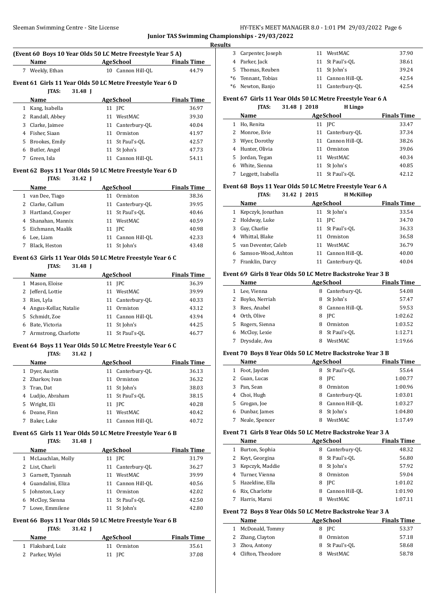# Sleeman Swimming Centre - Site License **HY-TEK's MEET MANAGER 8.0 - 1:01 PM 29/03/2022** Page 6

**Junior TAS Swimming Championships - 29/03/2022**

# **(Event 60 Boys 10 Year Olds 50 LC Metre Freestyle Year 5 A)**

**Name AgeSchool Finals Time** 7 Weekly, Ethan 10 Cannon Hill-QL 44.79

# **Event 61 Girls 11 Year Olds 50 LC Metre Freestyle Year 6 D**

### **JTAS: 31.48 J**

|    | .                | .  |                  |                    |
|----|------------------|----|------------------|--------------------|
|    | Name             |    | AgeSchool        | <b>Finals Time</b> |
|    | Kang, Isabella   |    | 11 <b>IPC</b>    | 36.97              |
|    | 2 Randall, Abbey |    | 11 WestMAC       | 39.30              |
| 3  | Clarke, Jaimee   |    | 11 Canterbury-OL | 40.04              |
|    | Fisher, Siaan    | 11 | Ormiston         | 41.97              |
| 5. | Brookes, Emily   |    | 11 St Paul's-OL  | 42.57              |
| 6  | Butler, Angel    | 11 | St John's        | 47.73              |
|    | Green, Isla      |    | Cannon Hill-OL   | 54.11              |

#### **Event 62 Boys 11 Year Olds 50 LC Metre Freestyle Year 6 D**

# **JTAS: 31.42 J**

|   | Name             | AgeSchool |                   | <b>Finals Time</b> |
|---|------------------|-----------|-------------------|--------------------|
|   | van Dee, Tiago   | 11        | Ormiston          | 38.36              |
|   | Clarke, Callum   |           | 11 Canterbury-OL  | 39.95              |
| 3 | Hartland, Cooper |           | 11 St Paul's-OL   | 40.46              |
| 4 | Shanahan, Mannix | 11        | WestMAC           | 40.59              |
| 5 | Eichmann, Maalik |           | 11 IPC            | 40.98              |
| 6 | Lee, Liam        |           | 11 Cannon Hill-OL | 42.33              |
|   | Black, Heston    |           | St John's         | 43.48              |

#### **Event 63 Girls 11 Year Olds 50 LC Metre Freestyle Year 6 C**

#### **JTAS: 31.48 J**

|    | Name                    | <b>AgeSchool</b>   | <b>Finals Time</b> |
|----|-------------------------|--------------------|--------------------|
|    | Mason, Eloise           | 11 <b>IPC</b>      | 36.39              |
| 2  | Jefferd, Lottie         | WestMAC<br>11      | 39.99              |
| 3  | Ries, Lyla              | 11 Canterbury-OL   | 40.33              |
|    | 4 Angus-Kellar, Natalie | Ormiston<br>11     | 43.12              |
| 5. | Schmidt, Zoe            | 11 Cannon Hill-OL  | 43.94              |
| 6  | Bate, Victoria          | 11 St John's       | 44.25              |
|    | Armstrong, Charlotte    | St Paul's-OL<br>11 | 46.77              |

# **Event 64 Boys 11 Year Olds 50 LC Metre Freestyle Year 6 C**

# **JTAS: 31.42 J**

|    | <b>Name</b>       |    | AgeSchool         | <b>Finals Time</b> |
|----|-------------------|----|-------------------|--------------------|
| 1  | Dyer, Austin      |    | 11 Canterbury-OL  | 36.13              |
|    | 2 Zharkov, Ivan   | 11 | Ormiston          | 36.32              |
| 3  | Tran, Dat         | 11 | St John's         | 38.03              |
|    | 4 Ludjio, Abraham |    | 11 St Paul's-OL   | 38.15              |
| 5. | Wright, Eli       |    | 11 <b>IPC</b>     | 40.28              |
| 6  | Deane, Finn       | 11 | WestMAC           | 40.42              |
|    | Baker, Luke       |    | 11 Cannon Hill-OL | 40.72              |

#### **Event 65 Girls 11 Year Olds 50 LC Metre Freestyle Year 6 B JTAS: 31.48 J**

# **Name AgeSchool Finals Time** 1 McLauchlan, Molly 11 JPC 31.79 2 List, Charli 11 Canterbury-QL 36.27 Garnett, Tyannah 11 WestMAC 39.99 Guandalini, Eliza 11 Cannon Hill-QL 40.56 Johnston, Lucy 11 Ormiston 42.02 McCloy, Sienna 11 St Paul's-QL 42.50 Lowe, Emmilene 11 St John's 42.80

# **Event 66 Boys 11 Year Olds 50 LC Metre Freestyle Year 6 B**

# **JTAS: 31.42 J**

| <b>Name</b>       | AgeSchool   | <b>Finals Time</b> |
|-------------------|-------------|--------------------|
| 1 Flaksbard, Luiz | 11 Ormiston | 35.61              |
| 2 Parker, Wylei   | 11 IPC      | 37.08              |

| <b>Results</b> |                     |    |                   |       |  |  |
|----------------|---------------------|----|-------------------|-------|--|--|
|                | 3 Carpenter, Joseph | 11 | WestMAC           | 37.90 |  |  |
|                | 4 Parker, Jack      |    | 11 St Paul's-OL   | 38.61 |  |  |
|                | 5 Thomas, Reuben    |    | 11 St John's      | 39.24 |  |  |
|                | *6 Tennant, Tobias  |    | 11 Cannon Hill-OL | 42.54 |  |  |
|                | *6 Newton, Banjo    | 11 | Canterbury-QL     | 42.54 |  |  |

# **Event 67 Girls 11 Year Olds 50 LC Metre Freestyle Year 6 A**

|   | <b>ITAS:</b>      | 31.48 I 2018 | H Lingo           |                    |
|---|-------------------|--------------|-------------------|--------------------|
|   | Name              |              | <b>AgeSchool</b>  | <b>Finals Time</b> |
|   | Ho, Renita        |              | 11 IPC            | 33.47              |
| 2 | Monroe, Evie      |              | 11 Canterbury-OL  | 37.34              |
| 3 | Wyer, Dorothy     |              | 11 Cannon Hill-OL | 38.26              |
| 4 | Hunter, Olivia    | 11           | Ormiston          | 39.06              |
| 5 | Jordan, Tegan     | 11           | WestMAC           | 40.34              |
| 6 | White, Sienna     | 11           | St John's         | 40.85              |
|   | Leggett, Isabella | 11           | St Paul's-OL      | 42.12              |

# **Event 68 Boys 11 Year Olds 50 LC Metre Freestyle Year 6 A**

**JTAS: 31.42 J 2015 H McKillop**

|    | Name                | <b>AgeSchool</b> |                   | <b>Finals Time</b> |
|----|---------------------|------------------|-------------------|--------------------|
| 1  | Kepczyk, Jonathan   |                  | 11 St John's      | 33.54              |
|    | 2 Holdway, Luke     |                  | 11 <b>IPC</b>     | 34.70              |
| 3  | Guy, Charlie        |                  | 11 St Paul's-OL   | 36.33              |
|    | Whittal, Blake      | 11               | Ormiston          | 36.58              |
| 5. | van Deventer, Caleb | 11               | WestMAC           | 36.79              |
|    | Samson-Wood, Ashton |                  | 11 Cannon Hill-OL | 40.00              |
|    | Franklin, Darcy     |                  | Canterbury-OL     | 40.04              |

#### **Event 69 Girls 8 Year Olds 50 LC Metre Backstroke Year 3 B**

|   | Name             |   | AgeSchool        | <b>Finals Time</b> |  |
|---|------------------|---|------------------|--------------------|--|
| 1 | Lee, Vienna      | 8 | Canterbury-OL    | 54.08              |  |
|   | 2 Boyko, Nerriah | 8 | St John's        | 57.47              |  |
|   | 3 Rees, Anabel   |   | 8 Cannon Hill-OL | 59.53              |  |
| 4 | Orth, Olive      | 8 | <b>IPC</b>       | 1:02.62            |  |
|   | 5 Rogers, Sienna | 8 | Ormiston         | 1:03.52            |  |
| 6 | McCloy, Lexie    | 8 | St Paul's-OL     | 1:12.71            |  |
|   | Drysdale, Ava    | 8 | WestMAC          | 1:19.66            |  |
|   |                  |   |                  |                    |  |

# **Event 70 Boys 8 Year Olds 50 LC Metre Backstroke Year 3 B**

|    | Name           |   | AgeSchool      | <b>Finals Time</b> |  |
|----|----------------|---|----------------|--------------------|--|
| 1  | Foot, Jayden   | 8 | St Paul's-OL   | 55.64              |  |
| 2  | Guan, Lucas    | 8 | <b>IPC</b>     | 1:00.77            |  |
| 3  | Pan, Sean      | 8 | Ormiston       | 1:00.96            |  |
| 4  | Choi, Hugh     | 8 | Canterbury-OL  | 1:03.01            |  |
| 5. | Grogan, Joe    | 8 | Cannon Hill-OL | 1:03.27            |  |
| 6  | Dunbar, James  | 8 | St John's      | 1:04.80            |  |
|    | Neale, Spencer | 8 | WestMAC        | 1:17.49            |  |

### **Event 71 Girls 8 Year Olds 50 LC Metre Backstroke Year 3 A**

|    | Name            | AgeSchool           | <b>Finals Time</b> |
|----|-----------------|---------------------|--------------------|
|    | Burton, Sophia  | Canterbury-OL<br>8  | 48.32              |
| 2. | Keyt, Georgina  | St Paul's-OL<br>8   | 56.80              |
| 3  | Kepczyk, Maddie | St John's<br>8      | 57.92              |
| 4  | Turner, Vienna  | Ormiston<br>8       | 59.04              |
| 5. | Hazeldine, Ella | <b>IPC</b><br>8     | 1:01.02            |
|    | Rix, Charlotte  | Cannon Hill-OL<br>8 | 1:01.90            |
|    | Harris, Marni   | WestMAC             | 1:07.11            |

# **Event 72 Boys 8 Year Olds 50 LC Metre Backstroke Year 3 A**

|   | Name              | AgeSchool      | <b>Finals Time</b> |
|---|-------------------|----------------|--------------------|
|   | McDonald, Tommy   | 8 IPC          | 53.37              |
|   | 2 Zhang, Clayton  | Ormiston       | 57.18              |
| 3 | Zhou, Antony      | 8 St Paul's-OL | 58.68              |
|   | Clifton, Theodore | WestMAC        | 58.78              |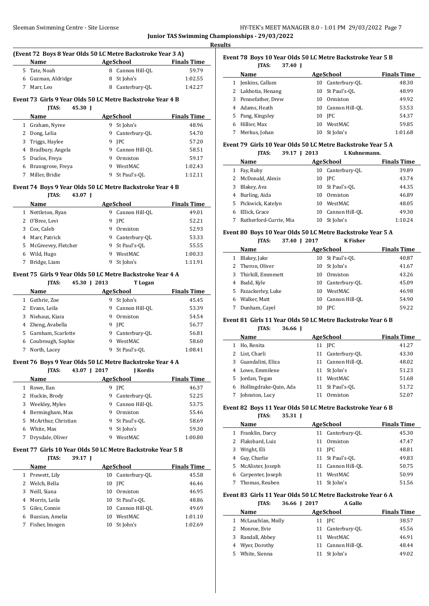**Results**

#### **(Event 72 Boys 8 Year Olds 50 LC Metre Backstroke Year 3 A)**

| <b>Name</b>        | AgeSchool        | <b>Finals Time</b> |
|--------------------|------------------|--------------------|
| 5 Tate, Noah       | 8 Cannon Hill-OL | 59.79              |
| 6 Guzman, Aldridge | 8 St John's      | 1:02.55            |
| Marr, Leo          | 8 Canterbury-OL  | 1:42.27            |

# **Event 73 Girls 9 Year Olds 50 LC Metre Backstroke Year 4 B**

| 45.30 I<br><b>TAS:</b> |                     |                    |
|------------------------|---------------------|--------------------|
| <b>Name</b>            | AgeSchool           | <b>Finals Time</b> |
| Graham, Nyree          | St John's<br>9      | 48.96              |
| Dong, Lelia            | Canterbury-OL<br>9  | 54.70              |
| Triggs, Haylee         | <b>IPC</b><br>9     | 57.20              |
| Bradbury, Angela       | Cannon Hill-OL<br>9 | 58.51              |
| Duclos, Freya          | Ormiston            | 59.17              |
| Bransgrove, Freya      | WestMAC<br>9        | 1:02.43            |
| Miller, Bridie         | St Paul's-OL<br>9   | 1:12.11            |
|                        |                     |                    |

# **Event 74 Boys 9 Year Olds 50 LC Metre Backstroke Year 4 B**

### **JTAS: 43.07 J**

|    | Name                |   | AgeSchool      | <b>Finals Time</b> |
|----|---------------------|---|----------------|--------------------|
| 1  | Nettleton, Ryan     | 9 | Cannon Hill-OL | 49.01              |
| 2. | O'Bree, Levi        | 9 | <b>IPC</b>     | 52.21              |
| 3  | Cox, Caleb          | 9 | Ormiston       | 52.93              |
| 4  | Marr, Patrick       | 9 | Canterbury-OL  | 53.33              |
| 5  | McGreevey, Fletcher | 9 | St Paul's-OL   | 55.55              |
| 6  | Wild, Hugo          | 9 | WestMAC        | 1:00.33            |
|    | Bridge, Liam        | 9 | St John's      | 1:11.91            |

# **Event 75 Girls 9 Year Olds 50 LC Metre Backstroke Year 4 A**

**JTAS: 45.30 J 2013 T Logan**

|    | Name               |   | AgeSchool      | <b>Finals Time</b> |
|----|--------------------|---|----------------|--------------------|
|    | Guthrie, Zoe       | 9 | St John's      | 45.45              |
| 2  | Evans, Leila       | 9 | Cannon Hill-OL | 53.39              |
| 3  | Niehaus, Kiara     | 9 | Ormiston       | 54.54              |
|    | Zheng, Avabella    | 9 | <b>IPC</b>     | 56.77              |
| 5. | Garnham, Scarlotte | 9 | Canterbury-OL  | 56.81              |
| 6  | Coubrough, Sophie  | 9 | WestMAC        | 58.60              |
|    | North, Lacev       | 9 | St Paul's-OL   | 1:08.41            |
|    |                    |   |                |                    |

# **Event 76 Boys 9 Year Olds 50 LC Metre Backstroke Year 4 A**

**JTAS: 43.07 J 2017 J Kordis**

|   | Name                  |   | <b>AgeSchool</b> | <b>Finals Time</b> |
|---|-----------------------|---|------------------|--------------------|
|   | Rowe, Ilan            | 9 | <b>IPC</b>       | 46.37              |
|   | 2 Huckin, Brody       | 9 | Canterbury-OL    | 52.25              |
| 3 | Weekley, Myles        | 9 | Cannon Hill-OL   | 53.75              |
| 4 | Bermingham, Max       | 9 | Ormiston         | 55.46              |
|   | 5 McArthur, Christian | 9 | St Paul's-OL     | 58.69              |
| 6 | White, Max            | 9 | St John's        | 59.30              |
|   | Drysdale, Oliver      | 9 | WestMAC          | 1:00.80            |
|   |                       |   |                  |                    |

# **Event 77 Girls 10 Year Olds 50 LC Metre Backstroke Year 5 B**

# **JTAS: 39.17 J**

|    | Name            | <b>AgeSchool</b> | <b>Finals Time</b> |         |
|----|-----------------|------------------|--------------------|---------|
| 1  | Prewett, Lily   | 10               | Canterbury-OL      | 45.58   |
| 2  | Welch, Bella    |                  | 10 IPC             | 46.46   |
| 3  | Neill, Siana    | 10               | Ormiston           | 46.95   |
| 4  | Morris, Leila   |                  | 10 St Paul's-OL    | 48.86   |
| 5. | Giles, Connie   | 10               | Cannon Hill-OL     | 49.69   |
| 6  | Bussian, Amelia | 10               | WestMAC            | 1:01.10 |
|    | Fisher, Imogen  | 10               | St John's          | 1:02.69 |

#### **Event 78 Boys 10 Year Olds 50 LC Metre Backstroke Year 5 B JTAS: 37.40 J**

|   | і і нэ.<br>37.4V I  |    |                   |                    |
|---|---------------------|----|-------------------|--------------------|
|   | Name                |    | AgeSchool         | <b>Finals Time</b> |
| 1 | Jenkins, Callum     |    | 10 Canterbury-OL  | 48.30              |
|   | 2 Lakhotia, Henang  |    | 10 St Paul's-OL   | 48.99              |
|   | 3 Pennefather, Drew | 10 | Ormiston          | 49.92              |
|   | 4 Adams, Heath      |    | 10 Cannon Hill-OL | 53.53              |
|   | 5 Pang, Kingsley    | 10 | <b>IPC</b>        | 54.37              |
| 6 | Hillier, Max        | 10 | WestMAC           | 59.85              |
|   | Merkus, Johan       | 10 | St John's         | 1:01.68            |
|   |                     |    |                   |                    |

# **Event 79 Girls 10 Year Olds 50 LC Metre Backstroke Year 5 A**

| <b>JTAS:</b> | 39.17 J 2013 | L Kuhnemann. |
|--------------|--------------|--------------|
|              |              |              |

|   | Name                   |    | <b>AgeSchool</b> | <b>Finals Time</b> |
|---|------------------------|----|------------------|--------------------|
|   | Fay, Ruby              |    | 10 Canterbury-OL | 39.89              |
|   | McDonald, Alexis       |    | 10 IPC           | 43.74              |
|   | Blakey, Ava            |    | 10 St Paul's-OL  | 44.35              |
| 4 | Burling, Aida          | 10 | Ormiston         | 46.89              |
|   | 5 Pickwick, Katelyn    | 10 | WestMAC          | 48.05              |
|   | Ellick, Grace          | 10 | Cannon Hill-OL   | 49.30              |
|   | Rutherford-Currie, Mia | 10 | St John's        | 1:10.24            |
|   |                        |    |                  |                    |

# **Event 80 Boys 10 Year Olds 50 LC Metre Backstroke Year 5 A**

# **JTAS: 37.40 J 2017 K Fisher**

|   | Name                |    | AgeSchool       | <b>Finals Time</b> |
|---|---------------------|----|-----------------|--------------------|
| 1 | Blakey, Jake        |    | 10 St Paul's-OL | 40.87              |
|   | 2 Theron, Oliver    |    | 10 St John's    | 41.67              |
|   | 3 Thirkill, Emmmett | 10 | Ormiston        | 43.26              |
| 4 | Budd, Kyle          | 10 | Canterbury-OL   | 45.09              |
|   | 5 Fazackerley, Luke | 10 | WestMAC         | 46.98              |
| 6 | Walker, Matt        | 10 | Cannon Hill-OL  | 54.90              |
|   | Dunham, Cayel       | 10 | <b>IPC</b>      | 59.22              |

# **Event 81 Girls 11 Year Olds 50 LC Metre Backstroke Year 6 B**

### **JTAS: 36.66 J**

|    | Name                   | <b>AgeSchool</b>  | <b>Finals Time</b> |
|----|------------------------|-------------------|--------------------|
|    | Ho, Renita             | 11 <b>IPC</b>     | 41.27              |
|    | List, Charli           | 11 Canterbury-OL  | 43.30              |
| 3  | Guandalini, Eliza      | 11 Cannon Hill-OL | 48.02              |
| 4  | Lowe, Emmilene         | 11 St John's      | 51.23              |
| 5. | Jordan, Tegan          | WestMAC<br>11     | 51.68              |
| 6  | Hollingdrake-Quin, Ada | 11 St Paul's-OL   | 51.72              |
|    | Johnston, Lucy         | Ormiston          | 52.07              |
|    |                        |                   |                    |

#### **Event 82 Boys 11 Year Olds 50 LC Metre Backstroke Year 6 B JTAS: 35.31 J**

|   | LAS:<br>33.31 I     |    |                  |                    |
|---|---------------------|----|------------------|--------------------|
|   | Name                |    | <b>AgeSchool</b> | <b>Finals Time</b> |
| 1 | Franklin, Darcy     | 11 | Canterbury-OL    | 45.30              |
| 2 | Flaksbard, Luiz     | 11 | Ormiston         | 47.47              |
| 3 | Wright, Eli         |    | 11 <b>IPC</b>    | 48.81              |
| 4 | Guy, Charlie        |    | 11 St Paul's-OL  | 49.83              |
|   | 5 McAlister, Joseph | 11 | Cannon Hill-OL   | 50.75              |
| 6 | Carpenter, Joseph   | 11 | WestMAC          | 50.99              |
|   | Thomas, Reuben      | 11 | St John's        | 51.56              |

#### **Event 83 Girls 11 Year Olds 50 LC Metre Backstroke Year 6 A JTAS: 36.66 J 2017 A Gallo**

| Name                | AgeSchool         | <b>Finals Time</b> |
|---------------------|-------------------|--------------------|
| 1 McLauchlan, Molly | 11 IPC            | 38.57              |
| 2 Monroe, Evie      | 11 Canterbury-OL  | 45.56              |
| 3 Randall, Abbey    | 11 WestMAC        | 46.91              |
| 4 Wyer, Dorothy     | 11 Cannon Hill-OL | 48.44              |
| 5 White, Sienna     | 11 St John's      | 49.02              |